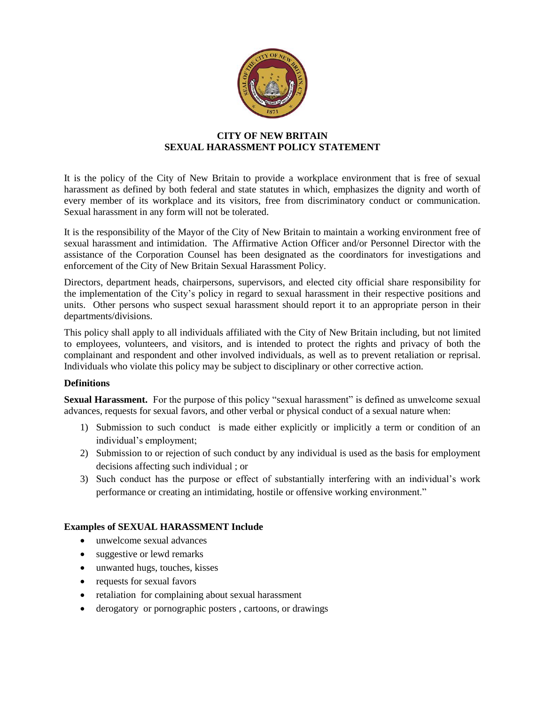

## **CITY OF NEW BRITAIN SEXUAL HARASSMENT POLICY STATEMENT**

It is the policy of the City of New Britain to provide a workplace environment that is free of sexual harassment as defined by both federal and state statutes in which, emphasizes the dignity and worth of every member of its workplace and its visitors, free from discriminatory conduct or communication. Sexual harassment in any form will not be tolerated.

It is the responsibility of the Mayor of the City of New Britain to maintain a working environment free of sexual harassment and intimidation. The Affirmative Action Officer and/or Personnel Director with the assistance of the Corporation Counsel has been designated as the coordinators for investigations and enforcement of the City of New Britain Sexual Harassment Policy.

Directors, department heads, chairpersons, supervisors, and elected city official share responsibility for the implementation of the City's policy in regard to sexual harassment in their respective positions and units. Other persons who suspect sexual harassment should report it to an appropriate person in their departments/divisions.

This policy shall apply to all individuals affiliated with the City of New Britain including, but not limited to employees, volunteers, and visitors, and is intended to protect the rights and privacy of both the complainant and respondent and other involved individuals, as well as to prevent retaliation or reprisal. Individuals who violate this policy may be subject to disciplinary or other corrective action.

### **Definitions**

**Sexual Harassment.** For the purpose of this policy "sexual harassment" is defined as unwelcome sexual advances, requests for sexual favors, and other verbal or physical conduct of a sexual nature when:

- 1) Submission to such conduct is made either explicitly or implicitly a term or condition of an individual's employment;
- 2) Submission to or rejection of such conduct by any individual is used as the basis for employment decisions affecting such individual ; or
- 3) Such conduct has the purpose or effect of substantially interfering with an individual's work performance or creating an intimidating, hostile or offensive working environment."

### **Examples of SEXUAL HARASSMENT Include**

- unwelcome sexual advances
- suggestive or lewd remarks
- unwanted hugs, touches, kisses
- requests for sexual favors
- retaliation for complaining about sexual harassment
- derogatory or pornographic posters , cartoons, or drawings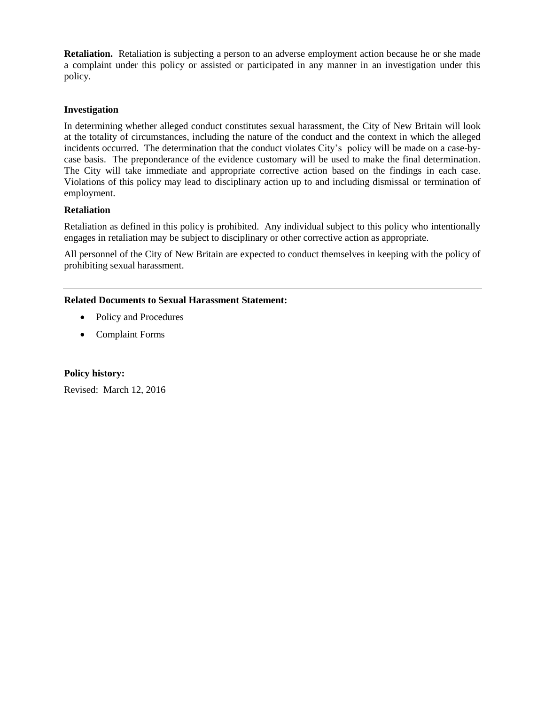**Retaliation.** Retaliation is subjecting a person to an adverse employment action because he or she made a complaint under this policy or assisted or participated in any manner in an investigation under this policy.

### **Investigation**

In determining whether alleged conduct constitutes sexual harassment, the City of New Britain will look at the totality of circumstances, including the nature of the conduct and the context in which the alleged incidents occurred. The determination that the conduct violates City's policy will be made on a case-bycase basis. The preponderance of the evidence customary will be used to make the final determination. The City will take immediate and appropriate corrective action based on the findings in each case. Violations of this policy may lead to disciplinary action up to and including dismissal or termination of employment.

## **Retaliation**

Retaliation as defined in this policy is prohibited. Any individual subject to this policy who intentionally engages in retaliation may be subject to disciplinary or other corrective action as appropriate.

All personnel of the City of New Britain are expected to conduct themselves in keeping with the policy of prohibiting sexual harassment.

## **Related Documents to Sexual Harassment Statement:**

- Policy and Procedures
- Complaint Forms

### **Policy history:**

Revised: March 12, 2016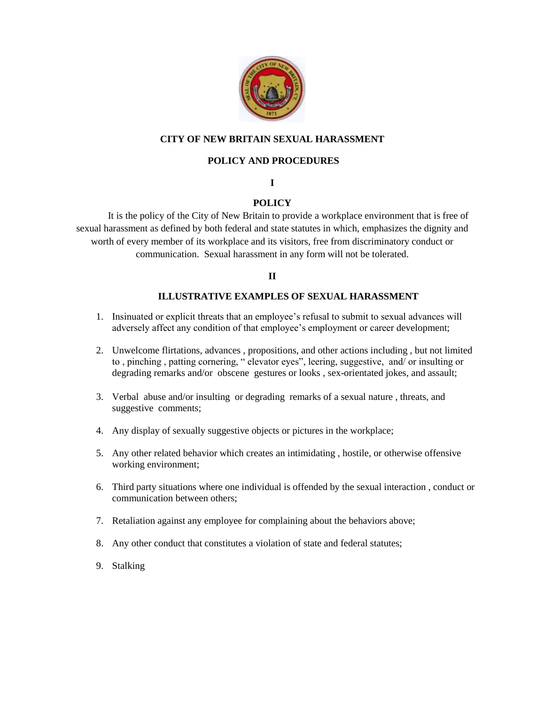

## **CITY OF NEW BRITAIN SEXUAL HARASSMENT**

## **POLICY AND PROCEDURES**

### **I**

# **POLICY**

It is the policy of the City of New Britain to provide a workplace environment that is free of sexual harassment as defined by both federal and state statutes in which, emphasizes the dignity and worth of every member of its workplace and its visitors, free from discriminatory conduct or communication. Sexual harassment in any form will not be tolerated.

## **II**

## **ILLUSTRATIVE EXAMPLES OF SEXUAL HARASSMENT**

- 1. Insinuated or explicit threats that an employee's refusal to submit to sexual advances will adversely affect any condition of that employee's employment or career development;
- 2. Unwelcome flirtations, advances , propositions, and other actions including , but not limited to , pinching , patting cornering, " elevator eyes", leering, suggestive, and/ or insulting or degrading remarks and/or obscene gestures or looks , sex-orientated jokes, and assault;
- 3. Verbal abuse and/or insulting or degrading remarks of a sexual nature , threats, and suggestive comments;
- 4. Any display of sexually suggestive objects or pictures in the workplace;
- 5. Any other related behavior which creates an intimidating , hostile, or otherwise offensive working environment;
- 6. Third party situations where one individual is offended by the sexual interaction , conduct or communication between others;
- 7. Retaliation against any employee for complaining about the behaviors above;
- 8. Any other conduct that constitutes a violation of state and federal statutes;
- 9. Stalking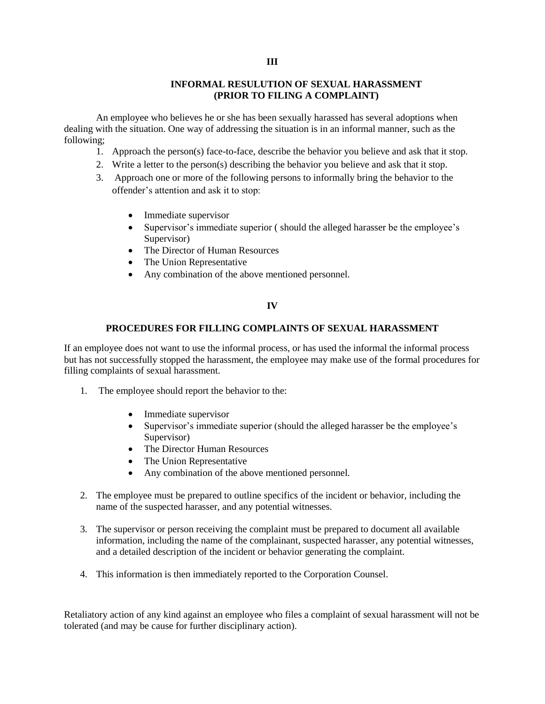### **INFORMAL RESULUTION OF SEXUAL HARASSMENT (PRIOR TO FILING A COMPLAINT)**

An employee who believes he or she has been sexually harassed has several adoptions when dealing with the situation. One way of addressing the situation is in an informal manner, such as the following;

- 1. Approach the person(s) face-to-face, describe the behavior you believe and ask that it stop.
- 2. Write a letter to the person(s) describing the behavior you believe and ask that it stop.
- 3. Approach one or more of the following persons to informally bring the behavior to the offender's attention and ask it to stop:
	- Immediate supervisor
	- Supervisor's immediate superior (should the alleged harasser be the employee's Supervisor)
	- The Director of Human Resources
	- The Union Representative
	- Any combination of the above mentioned personnel.

#### **IV**

## **PROCEDURES FOR FILLING COMPLAINTS OF SEXUAL HARASSMENT**

If an employee does not want to use the informal process, or has used the informal the informal process but has not successfully stopped the harassment, the employee may make use of the formal procedures for filling complaints of sexual harassment.

- 1. The employee should report the behavior to the:
	- Immediate supervisor
	- Supervisor's immediate superior (should the alleged harasser be the employee's Supervisor)
	- The Director Human Resources
	- The Union Representative
	- Any combination of the above mentioned personnel.
- 2. The employee must be prepared to outline specifics of the incident or behavior, including the name of the suspected harasser, and any potential witnesses.
- 3. The supervisor or person receiving the complaint must be prepared to document all available information, including the name of the complainant, suspected harasser, any potential witnesses, and a detailed description of the incident or behavior generating the complaint.
- 4. This information is then immediately reported to the Corporation Counsel.

Retaliatory action of any kind against an employee who files a complaint of sexual harassment will not be tolerated (and may be cause for further disciplinary action).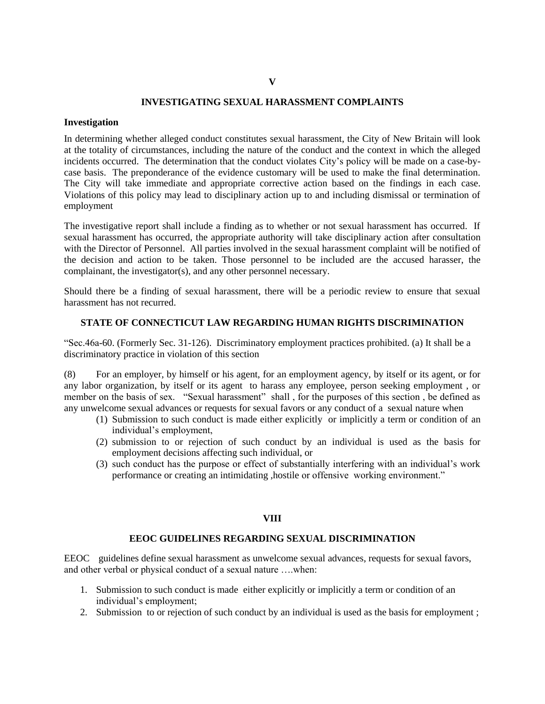#### **V**

### **INVESTIGATING SEXUAL HARASSMENT COMPLAINTS**

#### **Investigation**

In determining whether alleged conduct constitutes sexual harassment, the City of New Britain will look at the totality of circumstances, including the nature of the conduct and the context in which the alleged incidents occurred. The determination that the conduct violates City's policy will be made on a case-bycase basis. The preponderance of the evidence customary will be used to make the final determination. The City will take immediate and appropriate corrective action based on the findings in each case. Violations of this policy may lead to disciplinary action up to and including dismissal or termination of employment

The investigative report shall include a finding as to whether or not sexual harassment has occurred. If sexual harassment has occurred, the appropriate authority will take disciplinary action after consultation with the Director of Personnel. All parties involved in the sexual harassment complaint will be notified of the decision and action to be taken. Those personnel to be included are the accused harasser, the complainant, the investigator(s), and any other personnel necessary.

Should there be a finding of sexual harassment, there will be a periodic review to ensure that sexual harassment has not recurred.

## **STATE OF CONNECTICUT LAW REGARDING HUMAN RIGHTS DISCRIMINATION**

"Sec.46a-60. (Formerly Sec. 31-126). Discriminatory employment practices prohibited. (a) It shall be a discriminatory practice in violation of this section

(8) For an employer, by himself or his agent, for an employment agency, by itself or its agent, or for any labor organization, by itself or its agent to harass any employee, person seeking employment , or member on the basis of sex. "Sexual harassment" shall , for the purposes of this section , be defined as any unwelcome sexual advances or requests for sexual favors or any conduct of a sexual nature when

- (1) Submission to such conduct is made either explicitly or implicitly a term or condition of an individual's employment,
- (2) submission to or rejection of such conduct by an individual is used as the basis for employment decisions affecting such individual, or
- (3) such conduct has the purpose or effect of substantially interfering with an individual's work performance or creating an intimidating ,hostile or offensive working environment."

#### **VIII**

#### **EEOC GUIDELINES REGARDING SEXUAL DISCRIMINATION**

EEOC guidelines define sexual harassment as unwelcome sexual advances, requests for sexual favors, and other verbal or physical conduct of a sexual nature ….when:

- 1. Submission to such conduct is made either explicitly or implicitly a term or condition of an individual's employment;
- 2. Submission to or rejection of such conduct by an individual is used as the basis for employment ;